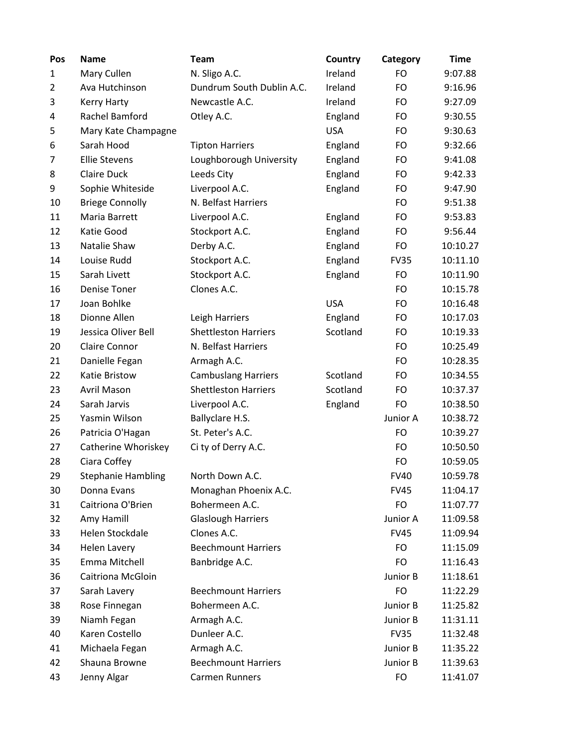| Pos | <b>Name</b>               | <b>Team</b>                 | Country    | Category    | <b>Time</b> |
|-----|---------------------------|-----------------------------|------------|-------------|-------------|
| 1   | Mary Cullen               | N. Sligo A.C.               | Ireland    | <b>FO</b>   | 9:07.88     |
| 2   | Ava Hutchinson            | Dundrum South Dublin A.C.   | Ireland    | FO          | 9:16.96     |
| 3   | <b>Kerry Harty</b>        | Newcastle A.C.              | Ireland    | FO          | 9:27.09     |
| 4   | Rachel Bamford            | Otley A.C.                  | England    | FO          | 9:30.55     |
| 5   | Mary Kate Champagne       |                             | <b>USA</b> | FO          | 9:30.63     |
| 6   | Sarah Hood                | <b>Tipton Harriers</b>      | England    | FO          | 9:32.66     |
| 7   | <b>Ellie Stevens</b>      | Loughborough University     | England    | FO          | 9:41.08     |
| 8   | <b>Claire Duck</b>        | Leeds City                  | England    | FO          | 9:42.33     |
| 9   | Sophie Whiteside          | Liverpool A.C.              | England    | FO          | 9:47.90     |
| 10  | <b>Briege Connolly</b>    | N. Belfast Harriers         |            | FO          | 9:51.38     |
| 11  | Maria Barrett             | Liverpool A.C.              | England    | FO          | 9:53.83     |
| 12  | Katie Good                | Stockport A.C.              | England    | FO          | 9:56.44     |
| 13  | Natalie Shaw              | Derby A.C.                  | England    | FO          | 10:10.27    |
| 14  | Louise Rudd               | Stockport A.C.              | England    | <b>FV35</b> | 10:11.10    |
| 15  | Sarah Livett              | Stockport A.C.              | England    | FO          | 10:11.90    |
| 16  | <b>Denise Toner</b>       | Clones A.C.                 |            | FO          | 10:15.78    |
| 17  | Joan Bohlke               |                             | <b>USA</b> | FO          | 10:16.48    |
| 18  | Dionne Allen              | Leigh Harriers              | England    | FO          | 10:17.03    |
| 19  | Jessica Oliver Bell       | <b>Shettleston Harriers</b> | Scotland   | <b>FO</b>   | 10:19.33    |
| 20  | <b>Claire Connor</b>      | N. Belfast Harriers         |            | FO          | 10:25.49    |
| 21  | Danielle Fegan            | Armagh A.C.                 |            | FO          | 10:28.35    |
| 22  | Katie Bristow             | <b>Cambuslang Harriers</b>  | Scotland   | FO          | 10:34.55    |
| 23  | Avril Mason               | <b>Shettleston Harriers</b> | Scotland   | FO          | 10:37.37    |
| 24  | Sarah Jarvis              | Liverpool A.C.              | England    | <b>FO</b>   | 10:38.50    |
| 25  | Yasmin Wilson             | Ballyclare H.S.             |            | Junior A    | 10:38.72    |
| 26  | Patricia O'Hagan          | St. Peter's A.C.            |            | <b>FO</b>   | 10:39.27    |
| 27  | Catherine Whoriskey       | Ci ty of Derry A.C.         |            | FO          | 10:50.50    |
| 28  | Ciara Coffey              |                             |            | <b>FO</b>   | 10:59.05    |
| 29  | <b>Stephanie Hambling</b> | North Down A.C.             |            | <b>FV40</b> | 10:59.78    |
| 30  | Donna Evans               | Monaghan Phoenix A.C.       |            | <b>FV45</b> | 11:04.17    |
| 31  | Caitriona O'Brien         | Bohermeen A.C.              |            | FO          | 11:07.77    |
| 32  | Amy Hamill                | <b>Glaslough Harriers</b>   |            | Junior A    | 11:09.58    |
| 33  | <b>Helen Stockdale</b>    | Clones A.C.                 |            | <b>FV45</b> | 11:09.94    |
| 34  | Helen Lavery              | <b>Beechmount Harriers</b>  |            | FO          | 11:15.09    |
| 35  | Emma Mitchell             | Banbridge A.C.              |            | FO          | 11:16.43    |
| 36  | Caitriona McGloin         |                             |            | Junior B    | 11:18.61    |
| 37  | Sarah Lavery              | <b>Beechmount Harriers</b>  |            | <b>FO</b>   | 11:22.29    |
| 38  | Rose Finnegan             | Bohermeen A.C.              |            | Junior B    | 11:25.82    |
| 39  | Niamh Fegan               | Armagh A.C.                 |            | Junior B    | 11:31.11    |
| 40  | Karen Costello            | Dunleer A.C.                |            | <b>FV35</b> | 11:32.48    |
| 41  | Michaela Fegan            | Armagh A.C.                 |            | Junior B    | 11:35.22    |
| 42  | Shauna Browne             | <b>Beechmount Harriers</b>  |            | Junior B    | 11:39.63    |
| 43  | Jenny Algar               | <b>Carmen Runners</b>       |            | <b>FO</b>   | 11:41.07    |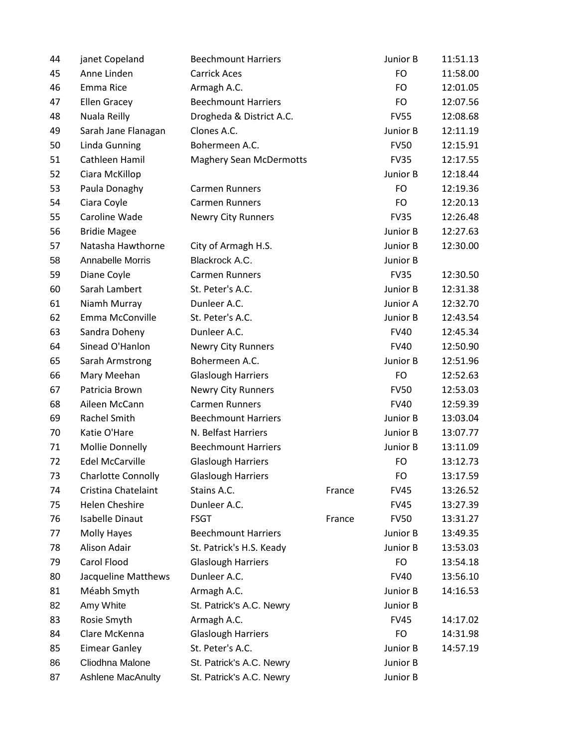| 44 | janet Copeland           | <b>Beechmount Harriers</b>     |        | Junior B    | 11:51.13 |
|----|--------------------------|--------------------------------|--------|-------------|----------|
| 45 | Anne Linden              | <b>Carrick Aces</b>            |        | FO          | 11:58.00 |
| 46 | Emma Rice                | Armagh A.C.                    |        | FO          | 12:01.05 |
| 47 | <b>Ellen Gracey</b>      | <b>Beechmount Harriers</b>     |        | FO          | 12:07.56 |
| 48 | Nuala Reilly             | Drogheda & District A.C.       |        | <b>FV55</b> | 12:08.68 |
| 49 | Sarah Jane Flanagan      | Clones A.C.                    |        | Junior B    | 12:11.19 |
| 50 | <b>Linda Gunning</b>     | Bohermeen A.C.                 |        | <b>FV50</b> | 12:15.91 |
| 51 | Cathleen Hamil           | <b>Maghery Sean McDermotts</b> |        | <b>FV35</b> | 12:17.55 |
| 52 | Ciara McKillop           |                                |        | Junior B    | 12:18.44 |
| 53 | Paula Donaghy            | <b>Carmen Runners</b>          |        | FO          | 12:19.36 |
| 54 | Ciara Coyle              | <b>Carmen Runners</b>          |        | FO          | 12:20.13 |
| 55 | Caroline Wade            | <b>Newry City Runners</b>      |        | <b>FV35</b> | 12:26.48 |
| 56 | <b>Bridie Magee</b>      |                                |        | Junior B    | 12:27.63 |
| 57 | Natasha Hawthorne        | City of Armagh H.S.            |        | Junior B    | 12:30.00 |
| 58 | Annabelle Morris         | Blackrock A.C.                 |        | Junior B    |          |
| 59 | Diane Coyle              | <b>Carmen Runners</b>          |        | <b>FV35</b> | 12:30.50 |
| 60 | Sarah Lambert            | St. Peter's A.C.               |        | Junior B    | 12:31.38 |
| 61 | Niamh Murray             | Dunleer A.C.                   |        | Junior A    | 12:32.70 |
| 62 | Emma McConville          | St. Peter's A.C.               |        | Junior B    | 12:43.54 |
| 63 | Sandra Doheny            | Dunleer A.C.                   |        | <b>FV40</b> | 12:45.34 |
| 64 | Sinead O'Hanlon          | Newry City Runners             |        | <b>FV40</b> | 12:50.90 |
| 65 | Sarah Armstrong          | Bohermeen A.C.                 |        | Junior B    | 12:51.96 |
| 66 | Mary Meehan              | <b>Glaslough Harriers</b>      |        | FO          | 12:52.63 |
| 67 | Patricia Brown           | <b>Newry City Runners</b>      |        | <b>FV50</b> | 12:53.03 |
| 68 | Aileen McCann            | <b>Carmen Runners</b>          |        | <b>FV40</b> | 12:59.39 |
| 69 | <b>Rachel Smith</b>      | <b>Beechmount Harriers</b>     |        | Junior B    | 13:03.04 |
| 70 | Katie O'Hare             | N. Belfast Harriers            |        | Junior B    | 13:07.77 |
| 71 | Mollie Donnelly          | <b>Beechmount Harriers</b>     |        | Junior B    | 13:11.09 |
| 72 | <b>Edel McCarville</b>   | <b>Glaslough Harriers</b>      |        | FO          | 13:12.73 |
| 73 | Charlotte Connolly       | <b>Glaslough Harriers</b>      |        | FO.         | 13:17.59 |
| 74 | Cristina Chatelaint      | Stains A.C.                    | France | <b>FV45</b> | 13:26.52 |
| 75 | <b>Helen Cheshire</b>    | Dunleer A.C.                   |        | <b>FV45</b> | 13:27.39 |
| 76 | <b>Isabelle Dinaut</b>   | <b>FSGT</b>                    | France | <b>FV50</b> | 13:31.27 |
| 77 | Molly Hayes              | <b>Beechmount Harriers</b>     |        | Junior B    | 13:49.35 |
| 78 | Alison Adair             | St. Patrick's H.S. Keady       |        | Junior B    | 13:53.03 |
| 79 | Carol Flood              | <b>Glaslough Harriers</b>      |        | <b>FO</b>   | 13:54.18 |
| 80 | Jacqueline Matthews      | Dunleer A.C.                   |        | <b>FV40</b> | 13:56.10 |
| 81 | Méabh Smyth              | Armagh A.C.                    |        | Junior B    | 14:16.53 |
| 82 | Amy White                | St. Patrick's A.C. Newry       |        | Junior B    |          |
| 83 | Rosie Smyth              | Armagh A.C.                    |        | <b>FV45</b> | 14:17.02 |
| 84 | Clare McKenna            | <b>Glaslough Harriers</b>      |        | FO          | 14:31.98 |
| 85 | <b>Eimear Ganley</b>     | St. Peter's A.C.               |        | Junior B    | 14:57.19 |
| 86 | Cliodhna Malone          | St. Patrick's A.C. Newry       |        | Junior B    |          |
| 87 | <b>Ashlene MacAnulty</b> | St. Patrick's A.C. Newry       |        | Junior B    |          |